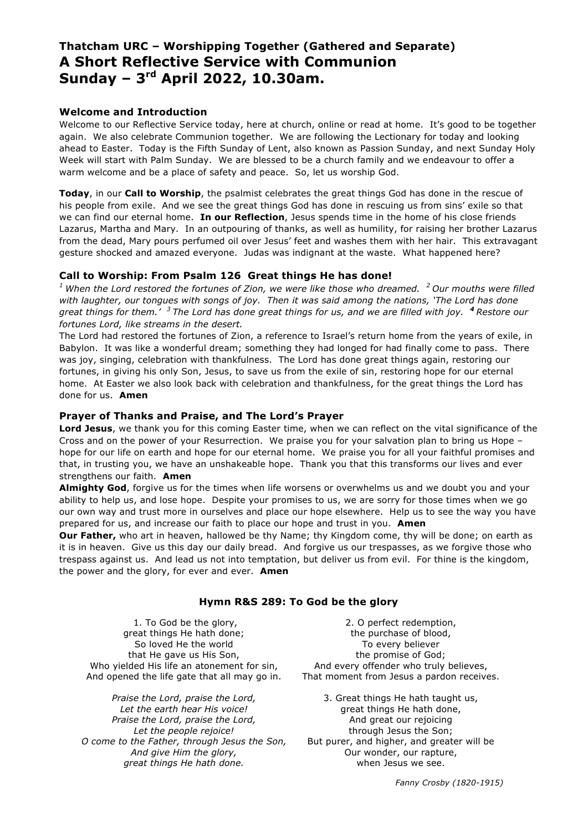# **Thatcham URC – Worshipping Together (Gathered and Separate) A Short Reflective Service with Communion Sunday – 3rd April 2022, 10.30am.**

## **Welcome and Introduction**

Welcome to our Reflective Service today, here at church, online or read at home. It's good to be together again. We also celebrate Communion together. We are following the Lectionary for today and looking ahead to Easter. Today is the Fifth Sunday of Lent, also known as Passion Sunday, and next Sunday Holy Week will start with Palm Sunday. We are blessed to be a church family and we endeavour to offer a warm welcome and be a place of safety and peace. So, let us worship God.

**Today**, in our **Call to Worship**, the psalmist celebrates the great things God has done in the rescue of his people from exile. And we see the great things God has done in rescuing us from sins' exile so that we can find our eternal home. **In our Reflection**, Jesus spends time in the home of his close friends Lazarus, Martha and Mary. In an outpouring of thanks, as well as humility, for raising her brother Lazarus from the dead, Mary pours perfumed oil over Jesus' feet and washes them with her hair. This extravagant gesture shocked and amazed everyone. Judas was indignant at the waste. What happened here?

### **Call to Worship: From Psalm 126 Great things He has done!**

*1 When the Lord restored the fortunes of Zion, we were like those who dreamed. 2 Our mouths were filled with laughter, our tongues with songs of joy. Then it was said among the nations, 'The Lord has done great things for them.' 3 The Lord has done great things for us, and we are filled with joy. <sup>4</sup>Restore our fortunes Lord, like streams in the desert.* 

The Lord had restored the fortunes of Zion, a reference to Israel's return home from the years of exile, in Babylon. It was like a wonderful dream; something they had longed for had finally come to pass. There was joy, singing, celebration with thankfulness. The Lord has done great things again, restoring our fortunes, in giving his only Son, Jesus, to save us from the exile of sin, restoring hope for our eternal home. At Easter we also look back with celebration and thankfulness, for the great things the Lord has done for us. **Amen** 

### **Prayer of Thanks and Praise, and The Lord's Prayer**

**Lord Jesus**, we thank you for this coming Easter time, when we can reflect on the vital significance of the Cross and on the power of your Resurrection. We praise you for your salvation plan to bring us Hope – hope for our life on earth and hope for our eternal home. We praise you for all your faithful promises and that, in trusting you, we have an unshakeable hope. Thank you that this transforms our lives and ever strengthens our faith. **Amen**

**Almighty God**, forgive us for the times when life worsens or overwhelms us and we doubt you and your ability to help us, and lose hope. Despite your promises to us, we are sorry for those times when we go our own way and trust more in ourselves and place our hope elsewhere. Help us to see the way you have prepared for us, and increase our faith to place our hope and trust in you. **Amen** 

**Our Father,** who art in heaven, hallowed be thy Name; thy Kingdom come, thy will be done; on earth as it is in heaven. Give us this day our daily bread. And forgive us our trespasses, as we forgive those who trespass against us. And lead us not into temptation, but deliver us from evil. For thine is the kingdom, the power and the glory, for ever and ever. **Amen** 

## **Hymn R&S 289: To God be the glory**

1. To God be the glory, great things He hath done; So loved He the world that He gave us His Son, Who yielded His life an atonement for sin, And opened the life gate that all may go in.

*Praise the Lord, praise the Lord, Let the earth hear His voice! Praise the Lord, praise the Lord, Let the people rejoice! O come to the Father, through Jesus the Son, And give Him the glory, great things He hath done.*

2. O perfect redemption, the purchase of blood, To every believer the promise of God; And every offender who truly believes, That moment from Jesus a pardon receives.

3. Great things He hath taught us, great things He hath done, And great our rejoicing through Jesus the Son; But purer, and higher, and greater will be Our wonder, our rapture, when Jesus we see.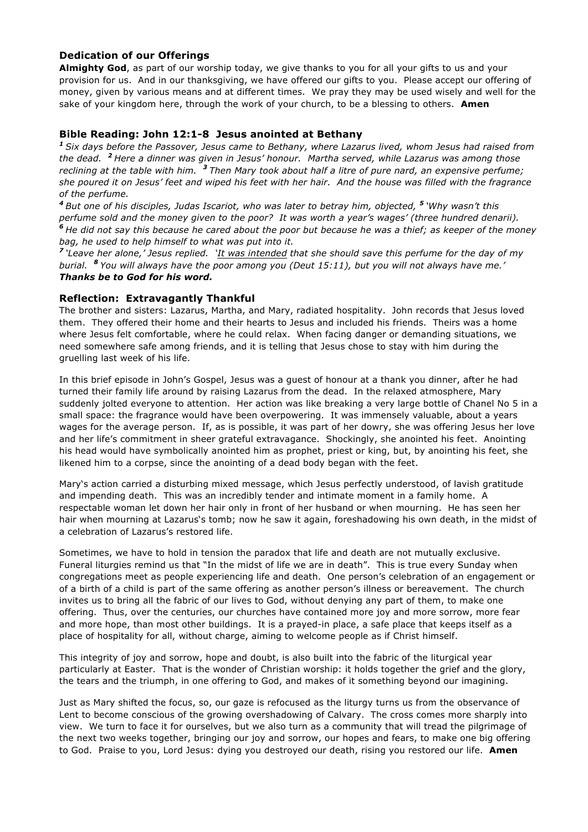# **Dedication of our Offerings**

**Almighty God**, as part of our worship today, we give thanks to you for all your gifts to us and your provision for us. And in our thanksgiving, we have offered our gifts to you. Please accept our offering of money, given by various means and at different times. We pray they may be used wisely and well for the sake of your kingdom here, through the work of your church, to be a blessing to others. **Amen**

# **Bible Reading: John 12:1-8 Jesus anointed at Bethany**

*<sup>1</sup>Six days before the Passover, Jesus came to Bethany, where Lazarus lived, whom Jesus had raised from the dead. <sup>2</sup>Here a dinner was given in Jesus' honour. Martha served, while Lazarus was among those reclining at the table with him. <sup>3</sup>Then Mary took about half a litre of pure nard, an expensive perfume; she poured it on Jesus' feet and wiped his feet with her hair. And the house was filled with the fragrance of the perfume.* 

<sup>4</sup>*But one of his disciples, Judas Iscariot, who was later to betray him, objected, <sup>5</sup> 'Why wasn't this perfume sold and the money given to the poor? It was worth a year's wages' (three hundred denarii). <sup>6</sup>He did not say this because he cared about the poor but because he was a thief; as keeper of the money bag, he used to help himself to what was put into it.* 

*<sup>7</sup>'Leave her alone,' Jesus replied. 'It was intended that she should save this perfume for the day of my burial. <sup>8</sup>You will always have the poor among you (Deut 15:11), but you will not always have me.' Thanks be to God for his word.*

## **Reflection: Extravagantly Thankful**

The brother and sisters: Lazarus, Martha, and Mary, radiated hospitality. John records that Jesus loved them. They offered their home and their hearts to Jesus and included his friends. Theirs was a home where Jesus felt comfortable, where he could relax. When facing danger or demanding situations, we need somewhere safe among friends, and it is telling that Jesus chose to stay with him during the gruelling last week of his life.

In this brief episode in John's Gospel, Jesus was a guest of honour at a thank you dinner, after he had turned their family life around by raising Lazarus from the dead. In the relaxed atmosphere, Mary suddenly jolted everyone to attention. Her action was like breaking a very large bottle of Chanel No 5 in a small space: the fragrance would have been overpowering. It was immensely valuable, about a years wages for the average person. If, as is possible, it was part of her dowry, she was offering Jesus her love and her life's commitment in sheer grateful extravagance. Shockingly, she anointed his feet. Anointing his head would have symbolically anointed him as prophet, priest or king, but, by anointing his feet, she likened him to a corpse, since the anointing of a dead body began with the feet.

Mary's action carried a disturbing mixed message, which Jesus perfectly understood, of lavish gratitude and impending death. This was an incredibly tender and intimate moment in a family home. A respectable woman let down her hair only in front of her husband or when mourning. He has seen her hair when mourning at Lazarus's tomb; now he saw it again, foreshadowing his own death, in the midst of a celebration of Lazarus's restored life.

Sometimes, we have to hold in tension the paradox that life and death are not mutually exclusive. Funeral liturgies remind us that "In the midst of life we are in death". This is true every Sunday when congregations meet as people experiencing life and death. One person's celebration of an engagement or of a birth of a child is part of the same offering as another person's illness or bereavement. The church invites us to bring all the fabric of our lives to God, without denying any part of them, to make one offering. Thus, over the centuries, our churches have contained more joy and more sorrow, more fear and more hope, than most other buildings. It is a prayed-in place, a safe place that keeps itself as a place of hospitality for all, without charge, aiming to welcome people as if Christ himself.

This integrity of joy and sorrow, hope and doubt, is also built into the fabric of the liturgical year particularly at Easter. That is the wonder of Christian worship: it holds together the grief and the glory, the tears and the triumph, in one offering to God, and makes of it something beyond our imagining.

Just as Mary shifted the focus, so, our gaze is refocused as the liturgy turns us from the observance of Lent to become conscious of the growing overshadowing of Calvary. The cross comes more sharply into view. We turn to face it for ourselves, but we also turn as a community that will tread the pilgrimage of the next two weeks together, bringing our joy and sorrow, our hopes and fears, to make one big offering to God. Praise to you, Lord Jesus: dying you destroyed our death, rising you restored our life. **Amen**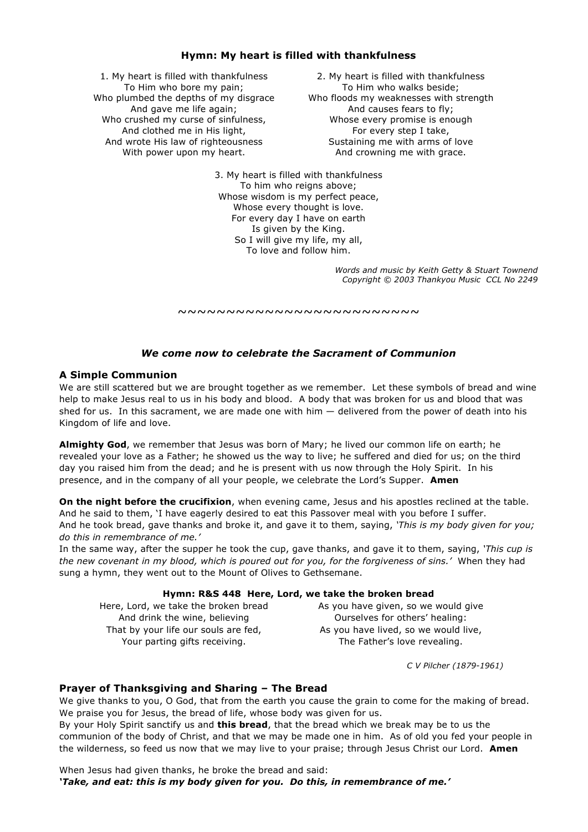# **Hymn: My heart is filled with thankfulness**

1. My heart is filled with thankfulness To Him who bore my pain; Who plumbed the depths of my disgrace And gave me life again; Who crushed my curse of sinfulness, And clothed me in His light, And wrote His law of righteousness With power upon my heart.

2. My heart is filled with thankfulness To Him who walks beside; Who floods my weaknesses with strength And causes fears to fly; Whose every promise is enough For every step I take, Sustaining me with arms of love And crowning me with grace.

3. My heart is filled with thankfulness To him who reigns above; Whose wisdom is my perfect peace, Whose every thought is love. For every day I have on earth Is given by the King. So I will give my life, my all, To love and follow him.

> *Words and music by Keith Getty & Stuart Townend Copyright © 2003 Thankyou Music CCL No 2249*

~~~~~~~~~~~~~~~~~~~~~~~~

# *We come now to celebrate the Sacrament of Communion*

## **A Simple Communion**

We are still scattered but we are brought together as we remember. Let these symbols of bread and wine help to make Jesus real to us in his body and blood. A body that was broken for us and blood that was shed for us. In this sacrament, we are made one with him — delivered from the power of death into his Kingdom of life and love.

**Almighty God**, we remember that Jesus was born of Mary; he lived our common life on earth; he revealed your love as a Father; he showed us the way to live; he suffered and died for us; on the third day you raised him from the dead; and he is present with us now through the Holy Spirit. In his presence, and in the company of all your people, we celebrate the Lord's Supper. **Amen**

**On the night before the crucifixion**, when evening came, Jesus and his apostles reclined at the table. And he said to them, 'I have eagerly desired to eat this Passover meal with you before I suffer. And he took bread, gave thanks and broke it, and gave it to them, saying, *'This is my body given for you; do this in remembrance of me.'*

In the same way, after the supper he took the cup, gave thanks, and gave it to them, saying, *'This cup is the new covenant in my blood, which is poured out for you, for the forgiveness of sins.'* When they had sung a hymn, they went out to the Mount of Olives to Gethsemane.

#### **Hymn: R&S 448 Here, Lord, we take the broken bread**

Here, Lord, we take the broken bread And drink the wine, believing That by your life our souls are fed, Your parting gifts receiving.

As you have given, so we would give Ourselves for others' healing: As you have lived, so we would live, The Father's love revealing.

*C V Pilcher (1879-1961)*

#### **Prayer of Thanksgiving and Sharing – The Bread**

We give thanks to you, O God, that from the earth you cause the grain to come for the making of bread. We praise you for Jesus, the bread of life, whose body was given for us.

By your Holy Spirit sanctify us and **this bread**, that the bread which we break may be to us the communion of the body of Christ, and that we may be made one in him. As of old you fed your people in the wilderness, so feed us now that we may live to your praise; through Jesus Christ our Lord. **Amen**

When Jesus had given thanks, he broke the bread and said: *'Take, and eat: this is my body given for you. Do this, in remembrance of me.'*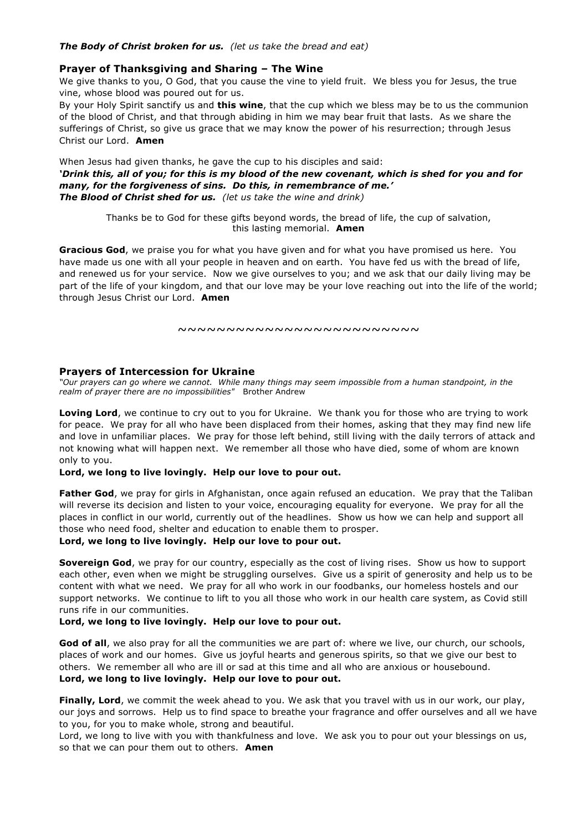## *The Body of Christ broken for us. (let us take the bread and eat)*

#### **Prayer of Thanksgiving and Sharing – The Wine**

We give thanks to you, O God, that you cause the vine to yield fruit. We bless you for Jesus, the true vine, whose blood was poured out for us.

By your Holy Spirit sanctify us and **this wine**, that the cup which we bless may be to us the communion of the blood of Christ, and that through abiding in him we may bear fruit that lasts. As we share the sufferings of Christ, so give us grace that we may know the power of his resurrection; through Jesus Christ our Lord. **Amen**

When Jesus had given thanks, he gave the cup to his disciples and said: *'Drink this, all of you; for this is my blood of the new covenant, which is shed for you and for many, for the forgiveness of sins. Do this, in remembrance of me.' The Blood of Christ shed for us. (let us take the wine and drink)*

Thanks be to God for these gifts beyond words, the bread of life, the cup of salvation, this lasting memorial. **Amen**

**Gracious God**, we praise you for what you have given and for what you have promised us here. You have made us one with all your people in heaven and on earth. You have fed us with the bread of life, and renewed us for your service. Now we give ourselves to you; and we ask that our daily living may be part of the life of your kingdom, and that our love may be your love reaching out into the life of the world; through Jesus Christ our Lord. **Amen** 

~~~~~~~~~~~~~~~~~~~~~~~

## **Prayers of Intercession for Ukraine**

*"Our prayers can go where we cannot. While many things may seem impossible from a human standpoint, in the realm of prayer there are no impossibilities"* Brother Andrew

**Loving Lord**, we continue to cry out to you for Ukraine. We thank you for those who are trying to work for peace. We pray for all who have been displaced from their homes, asking that they may find new life and love in unfamiliar places. We pray for those left behind, still living with the daily terrors of attack and not knowing what will happen next. We remember all those who have died, some of whom are known only to you.

#### **Lord, we long to live lovingly. Help our love to pour out.**

**Father God**, we pray for girls in Afghanistan, once again refused an education. We pray that the Taliban will reverse its decision and listen to your voice, encouraging equality for everyone. We pray for all the places in conflict in our world, currently out of the headlines. Show us how we can help and support all those who need food, shelter and education to enable them to prosper.

#### **Lord, we long to live lovingly. Help our love to pour out.**

**Sovereign God**, we pray for our country, especially as the cost of living rises. Show us how to support each other, even when we might be struggling ourselves. Give us a spirit of generosity and help us to be content with what we need. We pray for all who work in our foodbanks, our homeless hostels and our support networks. We continue to lift to you all those who work in our health care system, as Covid still runs rife in our communities.

#### **Lord, we long to live lovingly. Help our love to pour out.**

God of all, we also pray for all the communities we are part of: where we live, our church, our schools, places of work and our homes. Give us joyful hearts and generous spirits, so that we give our best to others. We remember all who are ill or sad at this time and all who are anxious or housebound. **Lord, we long to live lovingly. Help our love to pour out.** 

**Finally, Lord**, we commit the week ahead to you. We ask that you travel with us in our work, our play, our joys and sorrows. Help us to find space to breathe your fragrance and offer ourselves and all we have to you, for you to make whole, strong and beautiful.

Lord, we long to live with you with thankfulness and love. We ask you to pour out your blessings on us, so that we can pour them out to others. **Amen**